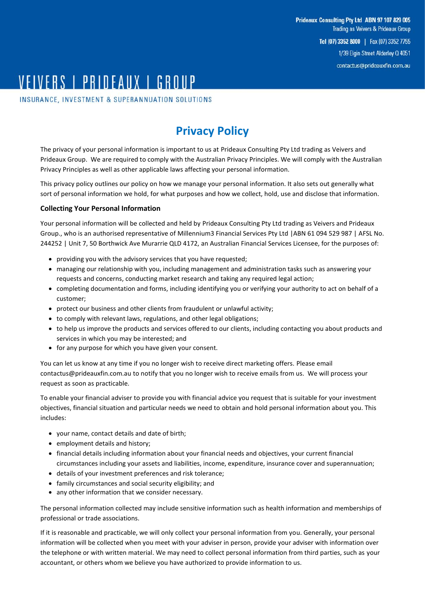# VEIVERS | PRINFAIIX | GRAIIP

INSURANCE, INVESTMENT & SUPERANNUATION SOLUTIONS

# **Privacy Policy**

The privacy of your personal information is important to us at Prideaux Consulting Pty Ltd trading as Veivers and Prideaux Group. We are required to comply with the Australian Privacy Principles. We will comply with the Australian Privacy Principles as well as other applicable laws affecting your personal information.

This privacy policy outlines our policy on how we manage your personal information. It also sets out generally what sort of personal information we hold, for what purposes and how we collect, hold, use and disclose that information.

# **Collecting Your Personal Information**

Your personal information will be collected and held by Prideaux Consulting Pty Ltd trading as Veivers and Prideaux Group., who is an authorised representative of Millennium3 Financial Services Pty Ltd |ABN 61 094 529 987 | AFSL No. 244252 | Unit 7, 50 Borthwick Ave Murarrie QLD 4172, an Australian Financial Services Licensee, for the purposes of:

- providing you with the advisory services that you have requested;
- managing our relationship with you, including management and administration tasks such as answering your requests and concerns, conducting market research and taking any required legal action;
- completing documentation and forms, including identifying you or verifying your authority to act on behalf of a customer;
- protect our business and other clients from fraudulent or unlawful activity;
- to comply with relevant laws, regulations, and other legal obligations;
- to help us improve the products and services offered to our clients, including contacting you about products and services in which you may be interested; and
- for any purpose for which you have given your consent.

You can let us know at any time if you no longer wish to receive direct marketing offers. Please email [contactus@prideauxfin.com.au](mailto:contactus@prideauxfin.com.au) to notify that you no longer wish to receive emails from us. We will process your request as soon as practicable.

To enable your financial adviser to provide you with financial advice you request that is suitable for your investment objectives, financial situation and particular needs we need to obtain and hold personal information about you. This includes:

- your name, contact details and date of birth;
- employment details and history;
- financial details including information about your financial needs and objectives, your current financial circumstances including your assets and liabilities, income, expenditure, insurance cover and superannuation;
- details of your investment preferences and risk tolerance;
- family circumstances and social security eligibility; and
- any other information that we consider necessary.

The personal information collected may include sensitive information such as health information and memberships of professional or trade associations.

If it is reasonable and practicable, we will only collect your personal information from you. Generally, your personal information will be collected when you meet with your adviser in person, provide your adviser with information over the telephone or with written material. We may need to collect personal information from third parties, such as your accountant, or others whom we believe you have authorized to provide information to us.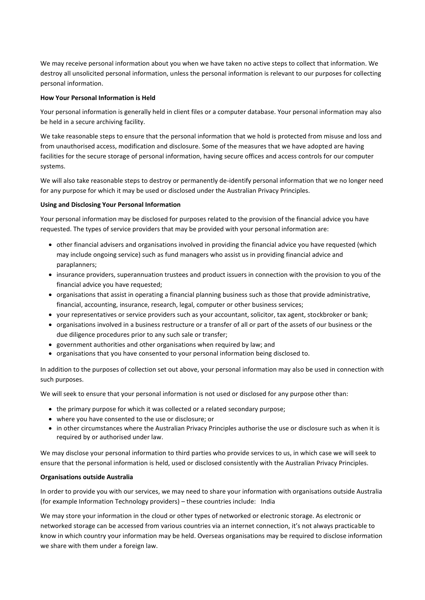We may receive personal information about you when we have taken no active steps to collect that information. We destroy all unsolicited personal information, unless the personal information is relevant to our purposes for collecting personal information.

#### **How Your Personal Information is Held**

Your personal information is generally held in client files or a computer database. Your personal information may also be held in a secure archiving facility.

We take reasonable steps to ensure that the personal information that we hold is protected from misuse and loss and from unauthorised access, modification and disclosure. Some of the measures that we have adopted are having facilities for the secure storage of personal information, having secure offices and access controls for our computer systems.

We will also take reasonable steps to destroy or permanently de-identify personal information that we no longer need for any purpose for which it may be used or disclosed under the Australian Privacy Principles.

# **Using and Disclosing Your Personal Information**

Your personal information may be disclosed for purposes related to the provision of the financial advice you have requested. The types of service providers that may be provided with your personal information are:

- other financial advisers and organisations involved in providing the financial advice you have requested (which may include ongoing service) such as fund managers who assist us in providing financial advice and paraplanners;
- insurance providers, superannuation trustees and product issuers in connection with the provision to you of the financial advice you have requested;
- organisations that assist in operating a financial planning business such as those that provide administrative, financial, accounting, insurance, research, legal, computer or other business services;
- your representatives or service providers such as your accountant, solicitor, tax agent, stockbroker or bank;
- organisations involved in a business restructure or a transfer of all or part of the assets of our business or the due diligence procedures prior to any such sale or transfer;
- government authorities and other organisations when required by law; and
- organisations that you have consented to your personal information being disclosed to.

In addition to the purposes of collection set out above, your personal information may also be used in connection with such purposes.

We will seek to ensure that your personal information is not used or disclosed for any purpose other than:

- the primary purpose for which it was collected or a related secondary purpose;
- where you have consented to the use or disclosure; or
- in other circumstances where the Australian Privacy Principles authorise the use or disclosure such as when it is required by or authorised under law.

We may disclose your personal information to third parties who provide services to us, in which case we will seek to ensure that the personal information is held, used or disclosed consistently with the Australian Privacy Principles.

#### **Organisations outside Australia**

In order to provide you with our services, we may need to share your information with organisations outside Australia (for example Information Technology providers) – these countries include: India

We may store your information in the cloud or other types of networked or electronic storage. As electronic or networked storage can be accessed from various countries via an internet connection, it's not always practicable to know in which country your information may be held. Overseas organisations may be required to disclose information we share with them under a foreign law.